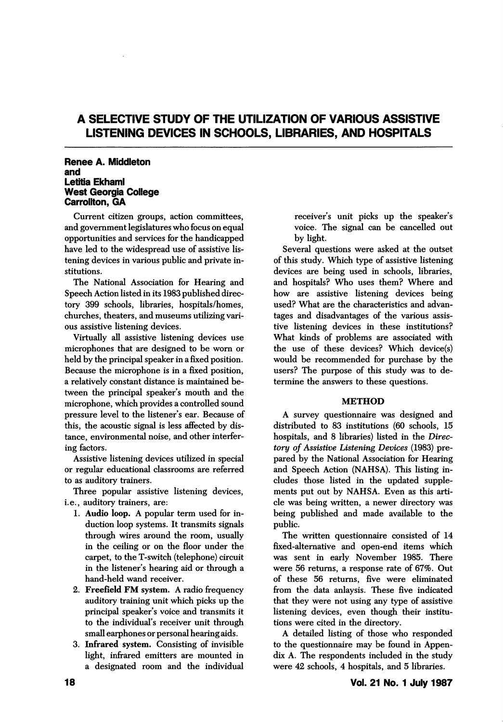# A SELECTIVE STUDY OF THE UTILIZATION OF VARIOUS ASSISTIVE LISTENING DEVICES IN SCHOOLS, LIBRARIES, AND HOSPITALS

## Renee A. Middleton and Letitia EkhamI West Georgia College Carrollton, GA

Current citizen groups, action committees, and government legislatures who focus on equal opportunities and services for the handicapped have led to the widespread use of assistive lis tening devices in various public and private in stitutions.

The National Association for Hearing and Speech Action listed in its 1983 published direc tory 399 schools, libraries, hospitals/homes, churches, theaters, and museums utilizing vari ous assistive listening devices.

Virtually all assistive listening devices use microphones that are designed to be worn or held by the principal speaker in a fixed position. Because the microphone is in a fixed position, a relatively constant distance is maintained be tween the principal speaker's mouth and the microphone, which provides a controlled sound pressure level to the listener's ear. Because of this, the acoustic signal is less affected by dis tance, environmental noise, and other interfer ing factors.

Assistive listening devices utilized in special or regular educational classrooms are referred to as auditory trainers.

Three popular assistive listening devices, i.e., auditory trainers, are:

- 1. Audio loop. A popular term used for in duction loop systems. It transmits signals through wires around the room, usually in the ceiling or on the floor under the carpet, to the T-switch (telephone) circuit in the listener's hearing aid or through a hand-held wand receiver.
- 2. Freefield FM system. A radio frequency auditory training unit which picks up the principal speaker's voice and transmits it to the individual's receiver unit through small earphones or personal hearing aids.
- 3. Infrared system. Consisting of invisible light, infrared emitters are mounted in a designated room and the individual

receiver's unit picks up the speaker's voice. The signal can be cancelled out by light.

Several questions were asked at the outset of this study. Which type of assistive listening devices are being used in schools, libraries, and hospitals? Who uses them? Where and how are assistive listening devices being used? What are the characteristics and advan tages and disadvantages of the various assis tive listening devices in these institutions? What kinds of problems are associated with the use of these devices? Which device(s) would be recommended for purchase by the users? The purpose of this study was to de termine the answers to these questions.

#### METHOD

A survey questionnaire was designed and distributed to 83 institutions (60 schools, 15 hospitals, and 8 libraries) listed in the Direc tory of Assistive Listening Devices (1983) pre pared by the National Association for Hearing and Speech Action (NAHSA). This listing in cludes those listed in the updated supple ments put out by NAHSA. Even as this arti cle was being written, a newer directory was being published and made available to the public.

The written questionnaire consisted of 14 fixed-altemative and open-end items which was sent in early November 1985. There were 56 returns, a response rate of 67%. Out of these 56 returns, five were eliminated from the data anlaysis. These five indicated that they were not using any type of assistive listening devices, even though their institu tions were cited in the directory.

A detailed listing of those who responded to the questionnaire may be found in Appen dix A. The respondents included in the study were 42 schools, 4 hospitals, and 5 libraries.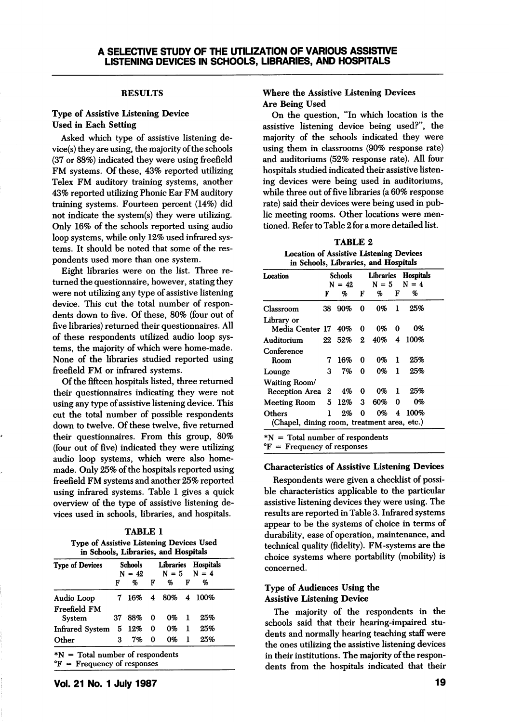# RESULTS

# Type of Assistive Listening Device Used in Each Setting

Asked which type of assistive listening device(s) they are using, the majority of the schools (37 or 88%) indicated they were using freefield FM systems. Of these, 43% reported utilizing Telex FM auditory training systems, another 43% reported utilizing Phonic Ear FM auditory training systems. Fourteen percent (14%) did not indicate the system(s) they were utilizing. Only 16% of the schools reported using audio loop systems, while only 12% used infrared sys tems. It should be noted that some of the res pondents used more than one system.

Eight libraries were on the list. Three re turned the questionnaire, however, stating they were not utilizing any type of assistive listening device. This cut the total number of respon dents down to five. Of these, 80% (four out of five libraries) returned their questionnaires. All of these respondents utilized audio loop sys tems, the majority of which were home-made. None of the libraries studied reported using freefield FM or infrared systems.

Of the fifteen hospitals listed, three returned their questionnaires indicating they were not using any type of assistive listening device. This cut the total number of possible respondents down to twelve. Of these twelve, five returned their questionnaires. From this group, 80% (four out of five) indicated they were utilizing audio loop systems, which were also home made. Only 25% of the hospitals reported using freefield FM systems and another 25% reported using infrared systems. Table 1 gives a quick overview of the type of assistive listening de vices used in schools, libraries, and hospitals.

| <b>TABLE 1</b>                                  |  |  |  |  |  |  |  |  |
|-------------------------------------------------|--|--|--|--|--|--|--|--|
| <b>Type of Assistive Listening Devices Used</b> |  |  |  |  |  |  |  |  |
| in Schools, Libraries, and Hospitals            |  |  |  |  |  |  |  |  |

|   |    |                                 |                                            | $N = 4$      |                                                      |
|---|----|---------------------------------|--------------------------------------------|--------------|------------------------------------------------------|
| F | q, | F                               | %                                          | F            | %                                                    |
|   |    |                                 |                                            |              |                                                      |
|   |    |                                 | 0%                                         | -1           | 25%                                                  |
|   |    |                                 | 0%                                         | 1            | 25%                                                  |
| 3 | 7% |                                 | 0%                                         | -1           | 25%                                                  |
|   |    | 37 88%<br>Infrared System 5 12% | Schools<br>$N = 42$<br>- 0<br>$\mathbf{0}$ | $\mathbf{0}$ | Libraries Hospitals<br>$N = 5$<br>7 16% 4 80% 4 100% |

\*N = Total number of respondents °F = Frequency of responses

## Where the Assistive Listening Devices Are Being Used

On the question, "In which location is the assistive listening device being used?", the majority of the schools indicated they were using them in classrooms (90% response rate) and auditoriums (52% response rate). All four hospitals studied indicated their assistive listen ing devices were being used in auditoriums, while three out of five libraries (a 60% response rate) said their devices were being used in pub lic meeting rooms. Other locations were men tioned. Refer to Table 2 for a more detailed list.

TABLE 2 Location of Assistive Listening Devices

| Location                                    |     | Schools<br>$N = 42$ |   | Libraries<br>$N = 5$ |                         | <b>Hospitals</b><br>$N = 4$ |  |
|---------------------------------------------|-----|---------------------|---|----------------------|-------------------------|-----------------------------|--|
|                                             | F   | %                   | F | %                    | F                       | %                           |  |
| Classroom                                   | 38. | 90%                 | 0 | 0%                   | 1                       | 25%                         |  |
| Library or                                  |     |                     |   |                      |                         |                             |  |
| Media Center 17 40%                         |     |                     | 0 | 0%                   | 0                       | 0%                          |  |
| Auditorium                                  |     | 22 52%              | 2 | 40%                  | $\overline{\mathbf{4}}$ | 100%                        |  |
| Conference                                  |     |                     |   |                      |                         |                             |  |
| Room                                        | 7   | 16%                 | 0 | 0%                   | ı                       | 25%                         |  |
| Lounge                                      | з   | 7%                  | 0 | 0%                   | 1                       | 25%                         |  |
| Waiting Room/                               |     |                     |   |                      |                         |                             |  |
| Reception Area                              | 2   | 4%                  | 0 | 0%                   | 1                       | 25%                         |  |
| <b>Meeting Room</b>                         | 5.  | 12%                 | 3 | 60%                  | 0                       | 0%                          |  |
| Others                                      | 1   | 2%                  | 0 | 0%                   | 4                       | 100%                        |  |
| (Chapel, dining room, treatment area, etc.) |     |                     |   |                      |                         |                             |  |

 ${}^{\circ}F$  = Frequency of responses

Characteristics of Assistive Listening Devices

Respondents were given a checklist of possi ble characteristics applicable to the particular assistive listening devices they were using. The results are reported in Table 3. Infrared systems appear to be the systems of choice in terms of durability, ease of operation, maintenance, and technical quality (fidelity). FM-systems are the choice systems where portability (mobility) is concerned.

# Type of Audiences Using the Assistive Listening Device

The majority of the respondents in the schools said that their hearing-impaired stu dents and normally hearing teaching staff were the ones utilizing the assistive listening devices in their institutions. The majority of the respon dents from the hospitals indicated that their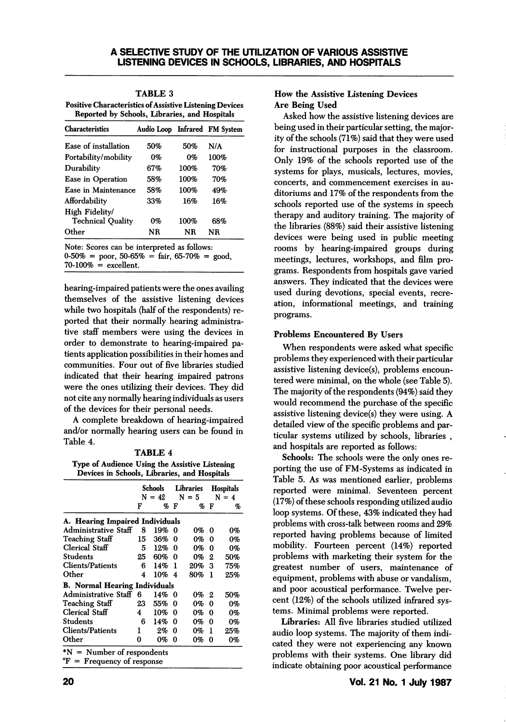# TABLE 3

Positive Characteristics of Assistive Listening Devices Reported by Schools, Libraries, and Hospitals

| <b>Characteristics</b>                     | Audio Loop Infrared FM System |      |      |
|--------------------------------------------|-------------------------------|------|------|
| Ease of installation                       | .50%                          | 50%  | N/A  |
| Portability/mobility                       | 0%                            | 0%   | 100% |
| Durability                                 | 67%                           | 100% | 70%  |
| Ease in Operation                          | 58%                           | 100% | 70%  |
| Ease in Maintenance                        | 58%                           | 100% | 49%  |
| Affordability                              | 33%                           | 16%  | 16%  |
| High Fidelity/<br><b>Technical Quality</b> | 0%                            | 100% | 68%  |
| Other                                      | ΝR                            | NR   | NR   |

Note: Scores can be interpreted as follows:  $0.50\% =$  poor, 50-65% = fair, 65-70% = good,  $70-100\%$  = excellent.

hearing-impaired patients were the ones availing themselves of the assistive listening devices while two hospitals (half of the respondents) re ported that their normally hearing administra tive staff members were using the devices in order to demonstrate to hearing-impaired pa tients application possibilities in their homes and communities. Four out of five libraries studied indicated that their hearing impaired patrons were the ones utilizing their devices. They did not cite any normally hearing individuals as users of the devices for their personal needs.

A complete breakdown of hearing-impaired and/or normally hearing users can be found in Table 4.

#### TABLE 4

Type of Audience Using the Assistive Listening Devices in Schools, Libraries, and Hospitals

|                                      | Schools<br>$N = 42$ |          |                  | Libraries<br>$N = 5$ | <b>Hospitals</b><br>$N = 4$ |       |
|--------------------------------------|---------------------|----------|------------------|----------------------|-----------------------------|-------|
|                                      | F                   |          | % F              | %                    | F                           | %     |
| A. Hearing Impaired Individuals      |                     |          |                  |                      |                             |       |
| Administrative Staff                 | 8                   | 19%      | 0                | 0%                   | 0                           | 0%    |
| Teaching Staff                       | 15                  | 36%      | 0                | 0%                   | 0                           | 0%    |
| Clerical Staff                       | 5                   | 12%      | 0                | 0%                   | 0                           | 0%    |
| Students                             | 25                  | 60%      | $\boldsymbol{0}$ | 0%                   | 2                           | 50%   |
| <b>Clients/Patients</b>              | 6                   | 14%      | -1               | 20%                  | з                           | 75%   |
| Other                                | 4                   | $10\%$ 4 |                  | 80%                  | -1                          | 25%   |
| <b>B.</b> Normal Hearing Individuals |                     |          |                  |                      |                             |       |
| Administrative Staff                 | 6                   | 14%      | 0                | 0%                   | 2                           | 50%   |
| Teaching Staff                       | 23                  | 55%      | 0                | 0%                   | 0                           | 0%    |
| Clerical Staff                       | 4                   | 10%      | 0                | 0%                   | 0                           | $0\%$ |
| Students                             | 6                   | 14%      | 0                | 0%                   | 0                           | 0%    |
| <b>Clients/Patients</b>              | ı                   | 2%       | 0                | 0%                   | 1                           | 25%   |
| Other                                | 0                   | 0%       | 0                | 0%                   | 0                           | 0%    |
| $N =$ Number of respondents          |                     |          |                  |                      |                             |       |

 ${}^{\circ}F$  = Frequency of response

Asked how the assistive listening devices are being used in their particular setting, the major ity of the schools (71%) said that they were used for instructional purposes in the classroom. Only 19% of the schools reported use of the systems for plays, musicals, lectures, movies, concerts, and commencement exercises in au ditoriums and 17% of the respondents from the schools reported use of the systems in speech therapy and auditory training. The majority of the libraries (88%) said their assistive listening devices were being used in public meeting rooms by hearing-impaired groups during meetings, lectures, workshops, and film pro grams. Respondents from hospitals gave varied answers. They indicated that the devices were used during devotions, special events, recre ation, informational meetings, and training programs.

## Problems Encountered By Users

When respondents were asked what specific problems they experienced with their particular assistive listening device(s), problems encoun tered were minimal, on the whole (see Table 5). The majority of the respondents (94%) said they would recommend the purchase of the specific assistive listening device(s) they were using. A detailed view of the specific problems and par ticular systems utilized by schools, libraries , and hospitals are reported as follows:

Schools: The schools were the only ones re porting the use of FM-Systems as indicated in Table 5. As was mentioned earlier, problems reported were minimal. Seventeen percent (17%) of these schools responding utilized audio loop systems. Of these, 43% indicated they had problems with cross-talk between rooms and 29% reported having problems because of limited mobility. Fourteen percent (14%) reported problems with marketing their system for the greatest number of users, maintenance of equipment, problems with abuse or vandalism, and poor acoustical performance. Twelve per cent (12%) of the schools utilized infrared sys tems. Minimal problems were reported.

Libraries: All five libraries studied utilized audio loop systems. The majority of them indi cated they were not experiencing any known problems with their systems. One library did indicate obtaining poor acoustical performance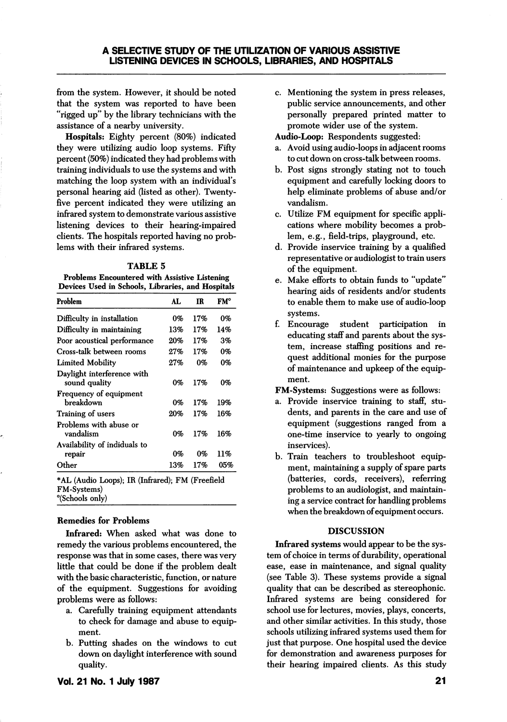## A SELECTIVE STUDY OF THE UTILIZATION OF VARIOUS ASSISTIVE LISTENING DEVICES IN SCHOOLS, LIBRARIES, AND HOSPITALS

from the system. However, it should be noted that the system was reported to have been "rigged up" by the library technicians with the assistance of a nearby university.

Hospitals: Eighty percent (80%) indicated they were utilizing audio loop systems. Fifty percent (50%) indicated they had problems with training individuals to use the systems and with matching the loop system with an individual's personal hearing aid (listed as other). Twentyfive percent indicated they were utilizing an infrared system to demonstrate various assistive listening devices to their hearing-impaired clients. The hospitals reported having no prob lems with their infrared systems.

#### TABLE 5

Problems Encountered with Assistive Listening Devices Used in Schools, Libraries, and Hospitals

| Problem                                     | AL  | TR  | FM° |
|---------------------------------------------|-----|-----|-----|
| Difficulty in installation                  | 0%  | 17% | 0%  |
| Difficulty in maintaining                   | 13% | 17% | 14% |
| Poor acoustical performance                 | 20% | 17% | 3%  |
| Cross-talk between rooms                    | 27% | 17% | 0%  |
| <b>Limited Mobility</b>                     | 27% | 0%  | 0%  |
| Daylight interference with<br>sound quality | 0%  | 17% | 0%  |
| Frequency of equipment<br>breakdown         | 0%  | 17% | 19% |
| Training of users                           | 20% | 17% | 16% |
| Problems with abuse or<br>vandalism         | 0%  | 17% | 16% |
| Availability of indiduals to                |     |     |     |
| repair                                      | 0%  | 0%  | 11% |
| Other                                       | 13% | 17% | 05% |

\*AL (Audio Loops); IR (Infrared); FM (Freefield FM-Systems) "(Schools only)

#### Remedies for Problems

Infrared: When asked what was done to remedy the various problems encountered, the response was that in some cases, there was very little that could be done if the problem dealt with the basic characteristic, function, or nature of the equipment. Suggestions for avoiding problems were as follows:

- a. Carefully training equipment attendants to check for damage and abuse to equip ment.
- b. Putting shades on the windows to cut down on daylight interference with sound quality.
- c. Mentioning the system in press releases, public service announcements, and other personally prepared printed matter to promote wider use of the system.
- Audio-Loop: Respondents suggested:
- a. Avoid using audio-loops in adjacent rooms to cut down on cross-talk between rooms.
- b. Post signs strongly stating not to touch equipment and carefully locking doors to help eliminate problems of abuse and/or vandalism.
- c. Utilize FM equipment for specific appli cations where mobility becomes a prob lem, e.g., field-trips, playground, etc.
- d. Provide inservice training by a qualified representative or audiologist to train users of the equipment.
- e. Make efforts to obtain funds to "update" hearing aids of residents and/or students to enable them to make use of audio-loop systems.
- f. Encourage student participation in educating staff and parents about the sys tem, increase staffing positions and re quest additional monies for the purpose of maintenance and upkeep of the equip ment.
- FM-Systems: Suggestions were as follows:
- a. Provide inservice training to staff, stu dents, and parents in the care and use of equipment (suggestions ranged from a one-time inservice to yearly to ongoing inservices).
- b. Train teachers to troubleshoot equip ment, maintaining a supply of spare parts (batteries, cords, receivers), referring problems to an audiologist, and maintain ing a service contract for handling problems when the breakdown of equipment occurs.

### DISCUSSION

Infrared systems would appear to be the sys tem of choice in terms of durability, operational ease, ease in maintenance, and signal quality (see Table 3). These systems provide a signal quality that can be described as stereophonic. Infrared systems are being considered for school use for lectures, movies, plays, concerts, and other similar activities. In this study, those schools utilizing infrared systems used them for just that purpose. One hospital used the device for demonstration and awareness purposes for their hearing impaired clients. As this study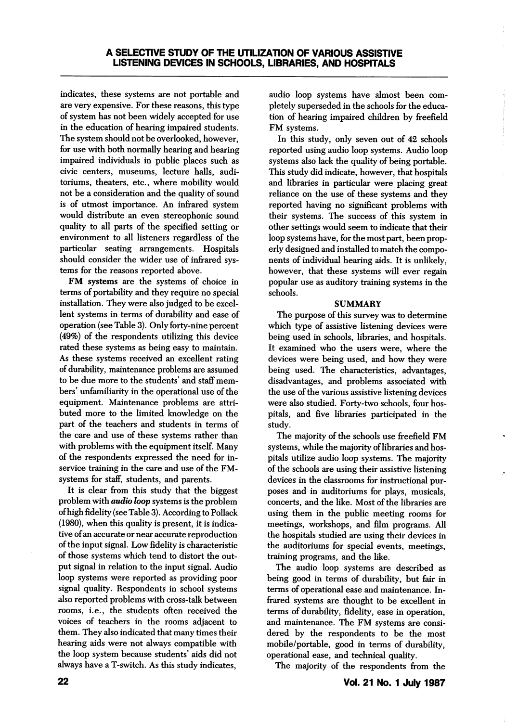indicates, these systems are not portable and are very expensive. For these reasons, this type of system has not been widely accepted for use in the education of hearing impaired students. The system should not be overlooked, however, for use with both normally hearing and hearing impaired individuals in public places such as civic centers, museums, lecture halls, audi toriums, theaters, etc., where mobility would not be a consideration and the quality of sound is of utmost importance. An infrared system would distribute an even stereophonic sound quality to all parts of the specified setting or environment to all listeners regardless of the particular seating arrangements. Hospitals should consider the wider use of infrared sys tems for the reasons reported above.

FM systems are the systems of choice in terms of portability and they require no special installation. They were also judged to be excellent systems in terms of durability and ease of operation (see Table 3). Only forty-nine percent (49%) of the respondents utilizing this device rated these systems as being easy to maintain. As these systems received an excellent rating of durability, maintenance problems are assumed to be due more to the students' and staff members' unfamiliarity in the operational use of the equipment. Maintenance problems are attri buted more to the limited knowledge on the part of the teachers and students in terms of the care and use of these systems rather than with problems with the equipment itself. Many of the respondents expressed the need for inservice training in the care and use of the FMsystems for staff, students, and parents.

It is clear from this study that the biggest problem with audio loop systems is the problem of high fidelity (see Table 3). According to Pollack (1980), when this quality is present, it is indica tive of an accurate or near accurate reproduction of the input signal. Low fidelity is characteristic of those systems which tend to distort the out put signal in relation to the input signal. Audio loop systems were reported as providing poor signal quality. Respondents in school systems also reported problems with cross-talk between rooms, i.e., the students often received the voices of teachers in the rooms adjacent to them. They also indicated that many times their hearing aids were not always compatible with the loop system because students' aids did not always have a T-switch. As this study indicates,

audio loop systems have almost been com pletely superseded in the schools for the educa tion of hearing impaired children by freefield FM systems.

In this study, only seven out of 42 schools reported using audio loop systems. Audio loop systems also lack the quality of being portable. This study did indicate, however, that hospitals and libraries in particular were placing great reliance on the use of these systems and they reported having no significant problems with their systems. The success of this system in other settings would seem to indicate that their loop systems have, for the most part, been prop erly designed and installed to match the compo nents of individual hearing aids. It is unlikely, however, that these systems will ever regain popular use as auditory training systems in the schools.

# **SUMMARY**

The purpose of this survey was to determine which type of assistive listening devices were being used in schools, libraries, and hospitals. It examined who the users were, where the devices were being used, and how they were being used. The characteristics, advantages, disadvantages, and problems associated with the use of the various assistive listening devices were also studied. Forty-two schools, four hos pitals, and five libraries participated in the study.

The majority of the schools use freefield FM systems, while the majority of libraries and hos pitals utilize audio loop systems. The majority of the schools are using their assistive listening devices in the classrooms for instructional pur poses and in auditoriums for plays, musicals, concerts, and the like. Most of the libraries are using them in the public meeting rooms for meetings, workshops, and film programs. All the hospitals studied are using their devices in the auditoriums for special events, meetings, training programs, and the like.

The audio loop systems are described as being good in terms of durability, but fair in terms of operational ease and maintenance. In frared systems are thought to be excellent in terms of durability, fidelity, ease in operation, and maintenance. The FM systems are consi dered by the respondents to be the most mobile/portable, good in terms of durability, operational ease, and technical quality.

The majority of the respondents from the